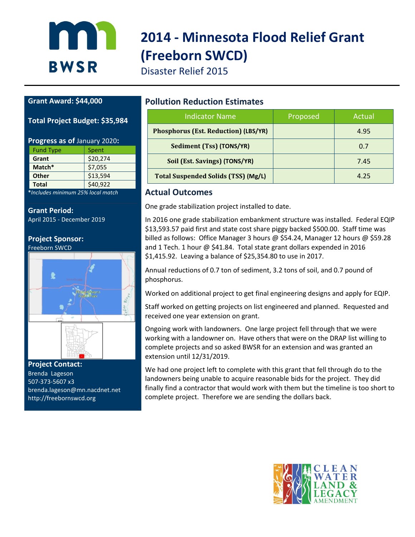

# **2014 - Minnesota Flood Relief Grant (Freeborn SWCD)**

Disaster Relief 2015

#### **Grant Award: \$44,000**

#### **Total Project Budget: \$35,984**

#### **Progress as of** January 2020**:**

| <b>Fund Type</b> | Spent    |
|------------------|----------|
| Grant            | \$20,274 |
| Match*           | \$7,055  |
| <b>Other</b>     | \$13,594 |
| <b>Total</b>     | \$40,922 |
|                  |          |

**\****Includes minimum 25% local match*

#### **Grant Period:**

April 2015 - December 2019

### **Project Sponsor:**

Freeborn SWCD



**Project Contact:**  Brenda Lageson 507-373-5607 x3 brenda.lageson@mn.nacdnet.net http://freebornswcd.org

#### **Pollution Reduction Estimates**

| <b>Indicator Name</b>                       | Proposed | Actual |
|---------------------------------------------|----------|--------|
| <b>Phosphorus (Est. Reduction) (LBS/YR)</b> |          | 4.95   |
| Sediment (Tss) (TONS/YR)                    |          | 0.7    |
| Soil (Est. Savings) (TONS/YR)               |          | 7.45   |
| <b>Total Suspended Solids (TSS) (Mg/L)</b>  |          | 4.25   |

#### **Actual Outcomes**

One grade stabilization project installed to date.

In 2016 one grade stabilization embankment structure was installed. Federal EQIP \$13,593.57 paid first and state cost share piggy backed \$500.00. Staff time was billed as follows: Office Manager 3 hours @ \$54.24, Manager 12 hours @ \$59.28 and 1 Tech. 1 hour @ \$41.84. Total state grant dollars expended in 2016 \$1,415.92. Leaving a balance of \$25,354.80 to use in 2017.

Annual reductions of 0.7 ton of sediment, 3.2 tons of soil, and 0.7 pound of phosphorus.

Worked on additional project to get final engineering designs and apply for EQIP.

Staff worked on getting projects on list engineered and planned. Requested and received one year extension on grant.

Ongoing work with landowners. One large project fell through that we were working with a landowner on. Have others that were on the DRAP list willing to complete projects and so asked BWSR for an extension and was granted an extension until 12/31/2019.

We had one project left to complete with this grant that fell through do to the landowners being unable to acquire reasonable bids for the project. They did finally find a contractor that would work with them but the timeline is too short to complete project. Therefore we are sending the dollars back.

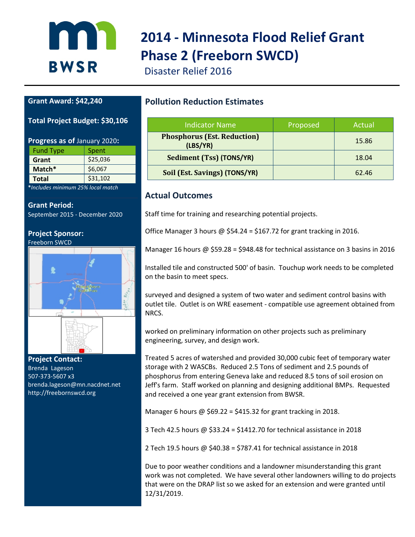

## **2014 - Minnesota Flood Relief Grant Phase 2 (Freeborn SWCD)**

Disaster Relief 2016

#### **Grant Award: \$42,240**

#### **Total Project Budget: \$30,106**

| Progress as of January 2020: |          |  |  |  |
|------------------------------|----------|--|--|--|
| <b>Fund Type</b>             | Spent    |  |  |  |
| Grant                        | \$25,036 |  |  |  |
| \$6,067<br>Match*            |          |  |  |  |
| \$31,102<br><b>Total</b>     |          |  |  |  |
|                              |          |  |  |  |

**\****Includes minimum 25% local match*

#### **Grant Period:**

September 2015 - December 2020

#### **Project Sponsor:** Freeborn SWCD



**Project Contact:**  Brenda Lageson 507-373-5607 x3 brenda.lageson@mn.nacdnet.net http://freebornswcd.org

#### **Pollution Reduction Estimates**

| Indicator Name                                 | Proposed | Actual |
|------------------------------------------------|----------|--------|
| <b>Phosphorus (Est. Reduction)</b><br>(LBS/YR) |          | 15.86  |
| Sediment (Tss) (TONS/YR)                       |          | 18.04  |
| Soil (Est. Savings) (TONS/YR)                  |          | 62.46  |

#### **Actual Outcomes**

Staff time for training and researching potential projects.

Office Manager 3 hours  $\omega$  \$54.24 = \$167.72 for grant tracking in 2016.

Manager 16 hours @ \$59.28 = \$948.48 for technical assistance on 3 basins in 2016

Installed tile and constructed 500' of basin. Touchup work needs to be completed on the basin to meet specs.

surveyed and designed a system of two water and sediment control basins with outlet tile. Outlet is on WRE easement - compatible use agreement obtained from NRCS.

worked on preliminary information on other projects such as preliminary engineering, survey, and design work.

Treated 5 acres of watershed and provided 30,000 cubic feet of temporary water storage with 2 WASCBs. Reduced 2.5 Tons of sediment and 2.5 pounds of phosphorus from entering Geneva lake and reduced 8.5 tons of soil erosion on Jeff's farm. Staff worked on planning and designing additional BMPs. Requested and received a one year grant extension from BWSR.

Manager 6 hours  $\omega$  \$69.22 = \$415.32 for grant tracking in 2018.

3 Tech 42.5 hours @ \$33.24 = \$1412.70 for technical assistance in 2018

2 Tech 19.5 hours @ \$40.38 = \$787.41 for technical assistance in 2018

Due to poor weather conditions and a landowner misunderstanding this grant work was not completed. We have several other landowners willing to do projects that were on the DRAP list so we asked for an extension and were granted until 12/31/2019.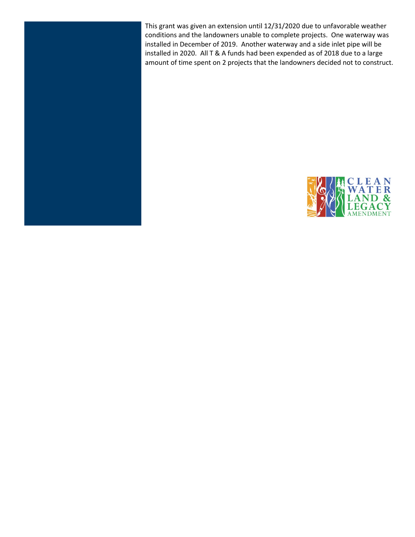This grant was given an extension until 12/31/2020 due to unfavorable weather conditions and the landowners unable to complete projects. One waterway was installed in December of 2019. Another waterway and a side inlet pipe will be installed in 2020. All T & A funds had been expended as of 2018 due to a large amount of time spent on 2 projects that the landowners decided not to construct.



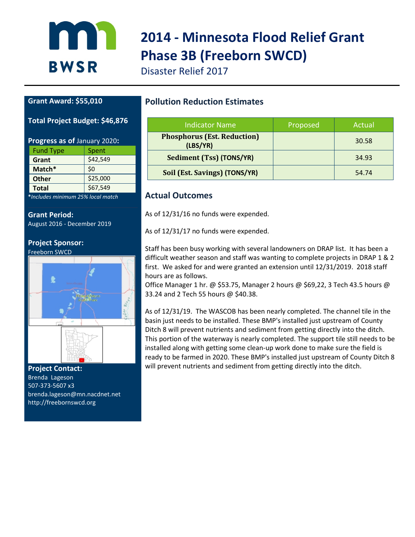

# **2014 - Minnesota Flood Relief Grant Phase 3B (Freeborn SWCD)**

Disaster Relief 2017

#### **Grant Award: \$55,010**

#### **Total Project Budget: \$46,876**

| Progress as of January 2020: |          |  |  |  |
|------------------------------|----------|--|--|--|
| <b>Fund Type</b><br>Spent    |          |  |  |  |
| Grant                        | \$42,549 |  |  |  |
| Match*                       | \$0      |  |  |  |
| <b>Other</b>                 | \$25,000 |  |  |  |
| <b>Total</b>                 | \$67,549 |  |  |  |

**\****Includes minimum 25% local match*

**Grant Period:**

August 2016 - December 2019

#### **Project Sponsor:** Freeborn SWCD



**Project Contact:**  Brenda Lageson 507-373-5607 x3 brenda.lageson@mn.nacdnet.net http://freebornswcd.org

#### **Pollution Reduction Estimates**

| Indicator Name                                 | Proposed | Actual |
|------------------------------------------------|----------|--------|
| <b>Phosphorus (Est. Reduction)</b><br>(LBS/YR) |          | 30.58  |
| Sediment (Tss) (TONS/YR)                       |          | 34.93  |
| Soil (Est. Savings) (TONS/YR)                  |          | 54.74  |

#### **Actual Outcomes**

As of 12/31/16 no funds were expended.

As of 12/31/17 no funds were expended.

Staff has been busy working with several landowners on DRAP list. It has been a difficult weather season and staff was wanting to complete projects in DRAP 1 & 2 first. We asked for and were granted an extension until 12/31/2019. 2018 staff hours are as follows.

Office Manager 1 hr. @ \$53.75, Manager 2 hours @ \$69,22, 3 Tech 43.5 hours @ 33.24 and 2 Tech 55 hours @ \$40.38.

As of 12/31/19. The WASCOB has been nearly completed. The channel tile in the basin just needs to be installed. These BMP's installed just upstream of County Ditch 8 will prevent nutrients and sediment from getting directly into the ditch. This portion of the waterway is nearly completed. The support tile still needs to be installed along with getting some clean-up work done to make sure the field is ready to be farmed in 2020. These BMP's installed just upstream of County Ditch 8 will prevent nutrients and sediment from getting directly into the ditch.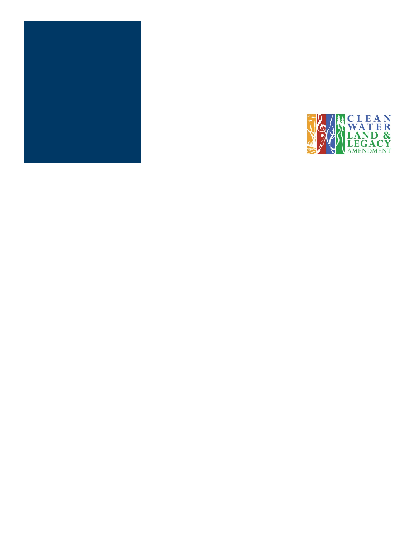

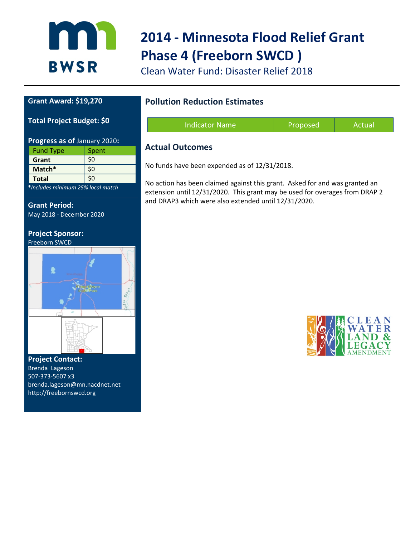

# **2014 - Minnesota Flood Relief Grant Phase 4 (Freeborn SWCD )**

Clean Water Fund: Disaster Relief 2018

#### **Grant Award: \$19,270**

#### **Total Project Budget: \$0**

| Progress as of January 2020: |     |  |  |  |  |
|------------------------------|-----|--|--|--|--|
| <b>Fund Type</b><br>Spent    |     |  |  |  |  |
| Grant                        | \$0 |  |  |  |  |
| Match*                       | \$0 |  |  |  |  |
| <b>Total</b>                 | \$0 |  |  |  |  |

**\****Includes minimum 25% local match*

**Grant Period:** May 2018 - December 2020

### **Project Sponsor:**



**Project Contact:**  Brenda Lageson 507-373-5607 x3 brenda.lageson@mn.nacdnet.net http://freebornswcd.org

#### **Pollution Reduction Estimates**

| <b>Indicator Name</b> | Proposed | Actual |
|-----------------------|----------|--------|
|                       |          |        |

#### **Actual Outcomes**

No funds have been expended as of 12/31/2018.

No action has been claimed against this grant. Asked for and was granted an extension until 12/31/2020. This grant may be used for overages from DRAP 2 and DRAP3 which were also extended until 12/31/2020.

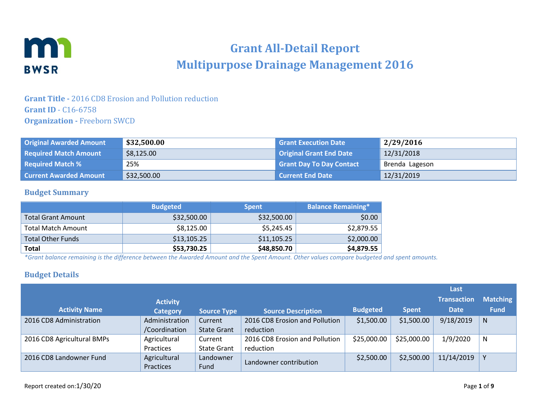

### **Grant All-Detail Report Multipurpose Drainage Management 2016**

#### **Grant Title -** 2016 CD8 Erosion and Pollution reduction **Grant ID** - C16-6758 **Organization -** Freeborn SWCD

| <b>Original Awarded Amount</b> | \$32,500.00 | <b>Grant Execution Date</b>     | 2/29/2016      |
|--------------------------------|-------------|---------------------------------|----------------|
| <b>Required Match Amount</b>   | \$8,125.00  | Original Grant End Date         | 12/31/2018     |
| <b>Required Match %</b>        | 25%         | <b>Grant Day To Day Contact</b> | Brenda Lageson |
| <b>Current Awarded Amount</b>  | \$32,500.00 | <b>Current End Date</b>         | 12/31/2019     |

#### **Budget Summary**

|                           | <b>Budgeted</b> | <b>Spent</b> | <b>Balance Remaining*</b> |
|---------------------------|-----------------|--------------|---------------------------|
| <b>Total Grant Amount</b> | \$32,500.00     | \$32,500.00  | \$0.00                    |
| <b>Total Match Amount</b> | \$8,125.00      | \$5,245.45   | \$2,879.55                |
| <b>Total Other Funds</b>  | \$13,105.25     | \$11,105.25  | \$2,000.00                |
| <b>Total</b>              | \$53,730.25     | \$48,850.70  | \$4,879.55                |

*\*Grant balance remaining is the difference between the Awarded Amount and the Spent Amount. Other values compare budgeted and spent amounts.*

#### **Budget Details**

|                            |                 |                    |                                |                 |              | Last               |                 |
|----------------------------|-----------------|--------------------|--------------------------------|-----------------|--------------|--------------------|-----------------|
|                            | <b>Activity</b> |                    |                                |                 |              | <b>Transaction</b> | <b>Matching</b> |
| <b>Activity Name</b>       | <b>Category</b> | <b>Source Type</b> | <b>Source Description</b>      | <b>Budgeted</b> | <b>Spent</b> | <b>Date</b>        | <b>Fund</b>     |
| 2016 CD8 Administration    | Administration  | Current            | 2016 CD8 Erosion and Pollution | \$1,500.00      | \$1,500.00   | 9/18/2019          | N               |
|                            | /Coordination   | <b>State Grant</b> | reduction                      |                 |              |                    |                 |
| 2016 CD8 Agricultural BMPs | Agricultural    | Current            | 2016 CD8 Erosion and Pollution | \$25,000.00     | \$25,000.00  | 1/9/2020           | N               |
|                            | Practices       | <b>State Grant</b> | reduction                      |                 |              |                    |                 |
| 2016 CD8 Landowner Fund    | Agricultural    | Landowner          |                                | \$2,500.00      | \$2,500.00   | 11/14/2019         |                 |
|                            | Practices       | Fund               | Landowner contribution         |                 |              |                    |                 |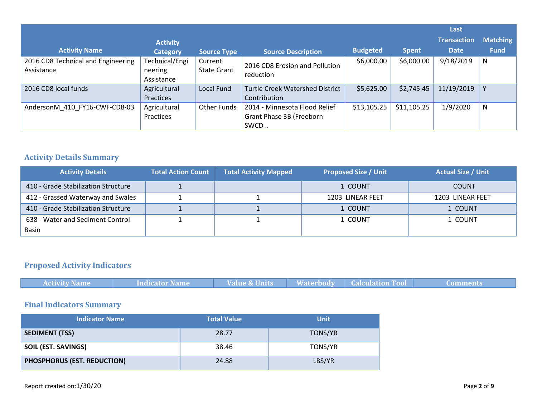|                                                  |                                         |                               |                                                                   |                 |              | Last               |                 |
|--------------------------------------------------|-----------------------------------------|-------------------------------|-------------------------------------------------------------------|-----------------|--------------|--------------------|-----------------|
|                                                  | <b>Activity</b>                         |                               |                                                                   |                 |              | <b>Transaction</b> | <b>Matching</b> |
| <b>Activity Name</b>                             | <b>Category</b>                         | Source Type                   | <b>Source Description</b>                                         | <b>Budgeted</b> | <b>Spent</b> | <b>Date</b>        | <b>Fund</b>     |
| 2016 CD8 Technical and Engineering<br>Assistance | Technical/Engi<br>neering<br>Assistance | Current<br><b>State Grant</b> | 2016 CD8 Erosion and Pollution<br>reduction                       | \$6,000.00      | \$6,000.00   | 9/18/2019          | N               |
| 2016 CD8 local funds                             | Agricultural<br>Practices               | Local Fund                    | <b>Turtle Creek Watershed District</b><br>Contribution            | \$5,625.00      | \$2,745.45   | 11/19/2019         |                 |
| AndersonM 410 FY16-CWF-CD8-03                    | Agricultural<br>Practices               | <b>Other Funds</b>            | 2014 - Minnesota Flood Relief<br>Grant Phase 3B (Freeborn<br>SWCD | \$13,105.25     | \$11,105.25  | 1/9/2020           | N               |

#### **Activity Details Summary**

| <b>Activity Details</b>             | <b>Total Action Count</b> | <b>Total Activity Mapped</b> | <b>Proposed Size / Unit</b> | <b>Actual Size / Unit</b> |
|-------------------------------------|---------------------------|------------------------------|-----------------------------|---------------------------|
| 410 - Grade Stabilization Structure |                           |                              | 1 COUNT                     | <b>COUNT</b>              |
| 412 - Grassed Waterway and Swales   |                           |                              | 1203 LINEAR FEET            | 1203 LINEAR FEET          |
| 410 - Grade Stabilization Structure |                           |                              | 1 COUNT                     | 1 COUNT                   |
| 638 - Water and Sediment Control    |                           |                              | 1 COUNT                     | 1 COUNT                   |
| Basin                               |                           |                              |                             |                           |

### **Proposed Activity Indicators**

| <b>Activity Name</b> | Indicator Name | <b>Value &amp; Units</b> | <b>Waterbody Calculation Tool</b> | wunnenk. |
|----------------------|----------------|--------------------------|-----------------------------------|----------|

### **Final Indicators Summary**

| <b>Indicator Name</b>       | <b>Total Value</b> | <b>Unit</b>    |
|-----------------------------|--------------------|----------------|
| <b>SEDIMENT (TSS)</b>       | 28.77              | <b>TONS/YR</b> |
| <b>SOIL (EST. SAVINGS)</b>  | 38.46              | TONS/YR        |
| PHOSPHORUS (EST. REDUCTION) | 24.88              | LBS/YR         |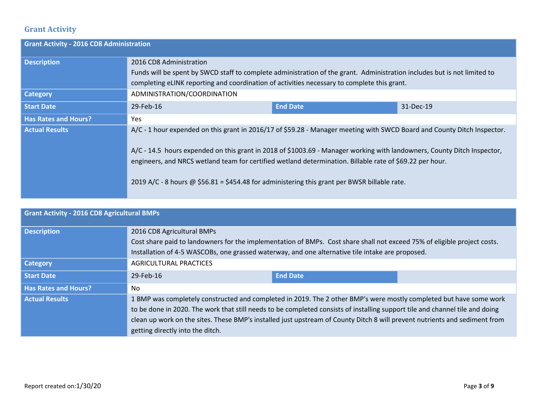### **Grant Activity**

| <b>Grant Activity - 2016 CD8 Administration</b> |                                                                                                                                                                                                                                                                                                                                                                                                                                                                |                 |           |
|-------------------------------------------------|----------------------------------------------------------------------------------------------------------------------------------------------------------------------------------------------------------------------------------------------------------------------------------------------------------------------------------------------------------------------------------------------------------------------------------------------------------------|-----------------|-----------|
| <b>Description</b>                              | 2016 CD8 Administration<br>Funds will be spent by SWCD staff to complete administration of the grant. Administration includes but is not limited to                                                                                                                                                                                                                                                                                                            |                 |           |
|                                                 | completing eLINK reporting and coordination of activities necessary to complete this grant.                                                                                                                                                                                                                                                                                                                                                                    |                 |           |
| <b>Category</b>                                 | ADMINISTRATION/COORDINATION                                                                                                                                                                                                                                                                                                                                                                                                                                    |                 |           |
| <b>Start Date</b>                               | 29-Feb-16                                                                                                                                                                                                                                                                                                                                                                                                                                                      | <b>End Date</b> | 31-Dec-19 |
| <b>Has Rates and Hours?</b>                     | Yes                                                                                                                                                                                                                                                                                                                                                                                                                                                            |                 |           |
| <b>Actual Results</b>                           | A/C - 1 hour expended on this grant in 2016/17 of \$59.28 - Manager meeting with SWCD Board and County Ditch Inspector.<br>A/C - 14.5 hours expended on this grant in 2018 of \$1003.69 - Manager working with landowners, County Ditch Inspector,<br>engineers, and NRCS wetland team for certified wetland determination. Billable rate of \$69.22 per hour.<br>2019 A/C - 8 hours @ \$56.81 = \$454.48 for administering this grant per BWSR billable rate. |                 |           |

| <b>Grant Activity - 2016 CD8 Agricultural BMPs</b> |                                                                                                                                                                                                                                                                                                                                                                                                                      |                 |  |
|----------------------------------------------------|----------------------------------------------------------------------------------------------------------------------------------------------------------------------------------------------------------------------------------------------------------------------------------------------------------------------------------------------------------------------------------------------------------------------|-----------------|--|
| <b>Description</b>                                 | 2016 CD8 Agricultural BMPs<br>Cost share paid to landowners for the implementation of BMPs. Cost share shall not exceed 75% of eligible project costs.<br>Installation of 4-5 WASCOBs, one grassed waterway, and one alternative tile intake are proposed.                                                                                                                                                           |                 |  |
| <b>Category</b>                                    | AGRICULTURAL PRACTICES                                                                                                                                                                                                                                                                                                                                                                                               |                 |  |
| <b>Start Date</b>                                  | 29-Feb-16                                                                                                                                                                                                                                                                                                                                                                                                            | <b>End Date</b> |  |
| <b>Has Rates and Hours?</b>                        | No                                                                                                                                                                                                                                                                                                                                                                                                                   |                 |  |
| <b>Actual Results</b>                              | 1 BMP was completely constructed and completed in 2019. The 2 other BMP's were mostly completed but have some work<br>to be done in 2020. The work that still needs to be completed consists of installing support tile and channel tile and doing<br>clean up work on the sites. These BMP's installed just upstream of County Ditch 8 will prevent nutrients and sediment from<br>getting directly into the ditch. |                 |  |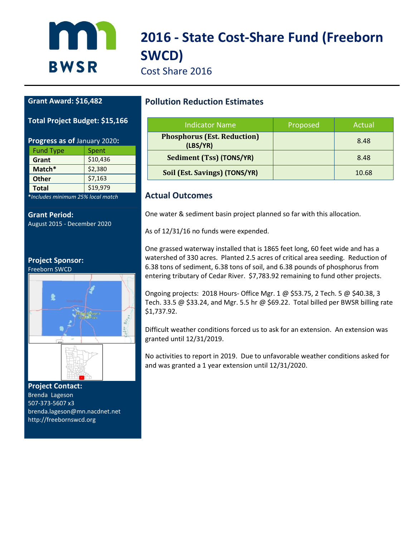# **2016 - State Cost-Share Fund (Freeborn SWCD)**

Cost Share 2016

#### **Grant Award: \$16,482**

n

**BWSR** 

#### **Total Project Budget: \$15,166**

| Progress as of January 2020: |          |  |
|------------------------------|----------|--|
| <b>Fund Type</b>             | Spent    |  |
| Grant                        | \$10,436 |  |
| Match*                       | \$2,380  |  |
| <b>Other</b>                 | \$7,163  |  |
| <b>Total</b>                 | \$19,979 |  |

**\****Includes minimum 25% local match*

**Grant Period:** August 2015 - December 2020

#### **Project Sponsor:**

Freeborn SWCD



**Project Contact:**  Brenda Lageson 507-373-5607 x3 brenda.lageson@mn.nacdnet.net http://freebornswcd.org

#### **Pollution Reduction Estimates**

| Indicator Name                                 | Proposed | Actual |
|------------------------------------------------|----------|--------|
| <b>Phosphorus (Est. Reduction)</b><br>(LBS/YR) |          | 8.48   |
| Sediment (Tss) (TONS/YR)                       |          | 8.48   |
| Soil (Est. Savings) (TONS/YR)                  |          | 10.68  |

#### **Actual Outcomes**

One water & sediment basin project planned so far with this allocation.

As of 12/31/16 no funds were expended.

One grassed waterway installed that is 1865 feet long, 60 feet wide and has a watershed of 330 acres. Planted 2.5 acres of critical area seeding. Reduction of 6.38 tons of sediment, 6.38 tons of soil, and 6.38 pounds of phosphorus from entering tributary of Cedar River. \$7,783.92 remaining to fund other projects.

Ongoing projects: 2018 Hours- Office Mgr. 1 @ \$53.75, 2 Tech. 5 @ \$40.38, 3 Tech. 33.5 @ \$33.24, and Mgr. 5.5 hr @ \$69.22. Total billed per BWSR billing rate \$1,737.92.

Difficult weather conditions forced us to ask for an extension. An extension was granted until 12/31/2019.

No activities to report in 2019. Due to unfavorable weather conditions asked for and was granted a 1 year extension until 12/31/2020.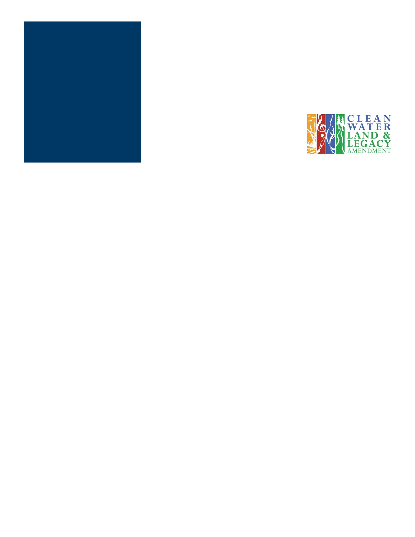

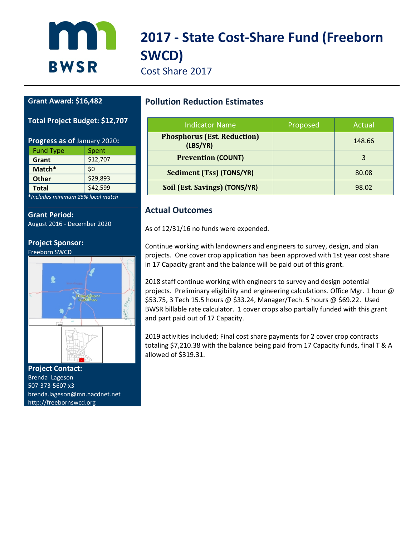# **2017 - State Cost-Share Fund (Freeborn SWCD)**

Cost Share 2017

#### **Grant Award: \$16,482**

**BWSR** 

**Total Project Budget: \$12,707**

| Progress as of January 2020: |          |  |
|------------------------------|----------|--|
| <b>Fund Type</b>             | Spent    |  |
| Grant                        | \$12,707 |  |
| \$0<br>Match*                |          |  |
| <b>Other</b>                 | \$29,893 |  |
| <b>Total</b>                 | \$42,599 |  |

**\****Includes minimum 25% local match*

**Grant Period:** August 2016 - December 2020

#### **Project Sponsor:** Freeborn SWCD



**Project Contact:**  Brenda Lageson 507-373-5607 x3 brenda.lageson@mn.nacdnet.net http://freebornswcd.org

#### **Pollution Reduction Estimates**

| <b>Indicator Name</b>                          | Proposed | Actual |
|------------------------------------------------|----------|--------|
| <b>Phosphorus (Est. Reduction)</b><br>(LBS/YR) |          | 148.66 |
| <b>Prevention (COUNT)</b>                      |          |        |
| Sediment (Tss) (TONS/YR)                       |          | 80.08  |
| Soil (Est. Savings) (TONS/YR)                  |          | 98.02  |

#### **Actual Outcomes**

As of 12/31/16 no funds were expended.

Continue working with landowners and engineers to survey, design, and plan projects. One cover crop application has been approved with 1st year cost share in 17 Capacity grant and the balance will be paid out of this grant.

2018 staff continue working with engineers to survey and design potential projects. Preliminary eligibility and engineering calculations. Office Mgr. 1 hour @ \$53.75, 3 Tech 15.5 hours @ \$33.24, Manager/Tech. 5 hours @ \$69.22. Used BWSR billable rate calculator. 1 cover crops also partially funded with this grant and part paid out of 17 Capacity.

2019 activities included; Final cost share payments for 2 cover crop contracts totaling \$7,210.38 with the balance being paid from 17 Capacity funds, final T & A allowed of \$319.31.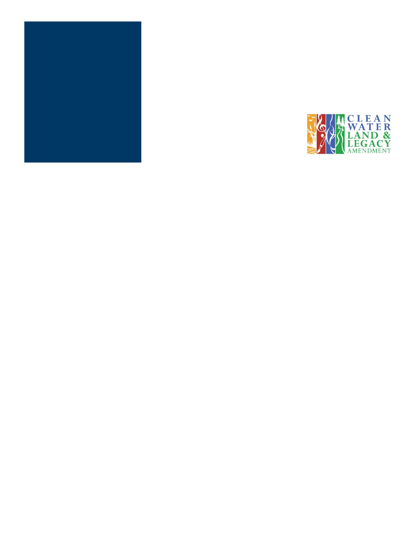

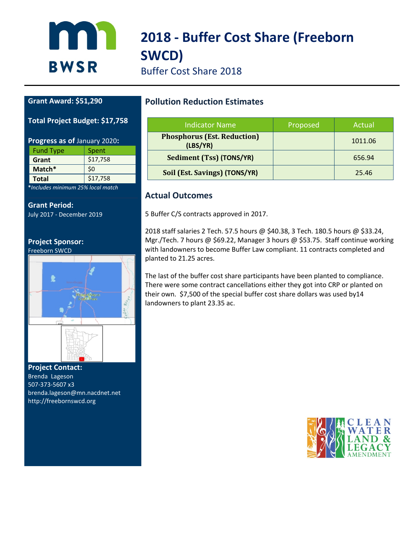

# **2018 - Buffer Cost Share (Freeborn SWCD)**

Buffer Cost Share 2018

#### **Grant Award: \$51,290**

#### **Total Project Budget: \$17,758**

| Progress as of January 2020: |          |  |
|------------------------------|----------|--|
| <b>Fund Type</b>             | Spent    |  |
| Grant                        | \$17,758 |  |
| \$0<br>Match*                |          |  |
| \$17,758<br><b>Total</b>     |          |  |
|                              |          |  |

**\****Includes minimum 25% local match*

#### **Grant Period:**

July 2017 - December 2019

#### **Project Sponsor:**

Freeborn SWCD



#### **Project Contact:**  Brenda Lageson 507-373-5607 x3 brenda.lageson@mn.nacdnet.net http://freebornswcd.org

#### **Pollution Reduction Estimates**

| <b>Indicator Name</b>                          | Proposed | Actual  |
|------------------------------------------------|----------|---------|
| <b>Phosphorus (Est. Reduction)</b><br>(LBS/YR) |          | 1011.06 |
| Sediment (Tss) (TONS/YR)                       |          | 656.94  |
| Soil (Est. Savings) (TONS/YR)                  |          | 25.46   |

#### **Actual Outcomes**

5 Buffer C/S contracts approved in 2017.

2018 staff salaries 2 Tech. 57.5 hours @ \$40.38, 3 Tech. 180.5 hours @ \$33.24, Mgr./Tech. 7 hours @ \$69.22, Manager 3 hours @ \$53.75. Staff continue working with landowners to become Buffer Law compliant. 11 contracts completed and planted to 21.25 acres.

The last of the buffer cost share participants have been planted to compliance. There were some contract cancellations either they got into CRP or planted on their own. \$7,500 of the special buffer cost share dollars was used by14 landowners to plant 23.35 ac.

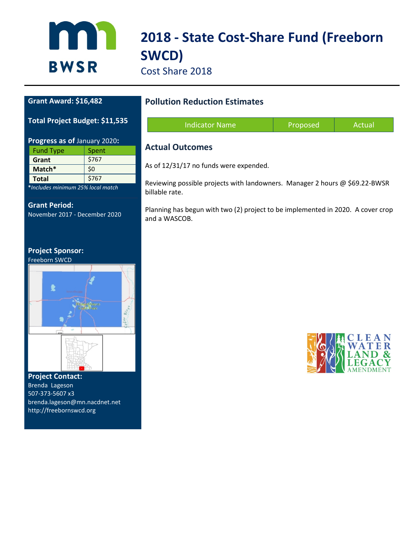

# **2018 - State Cost-Share Fund (Freeborn SWCD)**

Cost Share 2018

#### **Grant Award: \$16,482**

#### **Total Project Budget: \$11,535**

| Progress as of January 2020: |       |  |
|------------------------------|-------|--|
| <b>Fund Type</b>             | Spent |  |
| Grant                        | \$767 |  |
| \$0<br>Match*                |       |  |
| \$767<br><b>Total</b>        |       |  |
|                              |       |  |

**\****Includes minimum 25% local match*

#### **Grant Period:**

November 2017 - December 2020

#### **Project Sponsor:**





**Project Contact:**  Brenda Lageson 507-373-5607 x3 brenda.lageson@mn.nacdnet.net http://freebornswcd.org

#### **Pollution Reduction Estimates**

| <b>Indicator Name</b> | Proposed | Actual |
|-----------------------|----------|--------|
|                       |          |        |

#### **Actual Outcomes**

As of 12/31/17 no funds were expended.

Reviewing possible projects with landowners. Manager 2 hours @ \$69.22-BWSR billable rate.

Planning has begun with two (2) project to be implemented in 2020. A cover crop and a WASCOB.

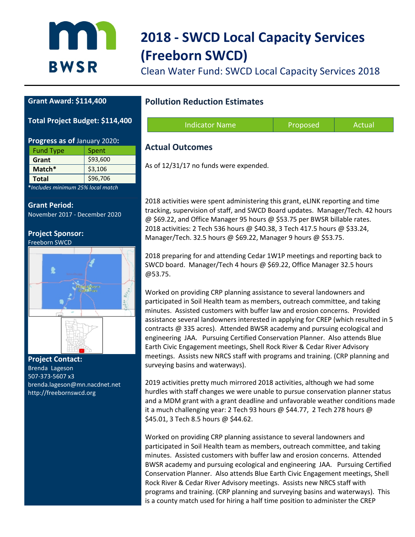

# **2018 - SWCD Local Capacity Services (Freeborn SWCD)**

Clean Water Fund: SWCD Local Capacity Services 2018

#### **Grant Award: \$114,400**

#### **Total Project Budget: \$114,400**

| Progress as of January 2020: |          |  |
|------------------------------|----------|--|
| <b>Fund Type</b>             | Spent    |  |
| Grant                        | \$93,600 |  |
| Match*                       | \$3,106  |  |
| <b>Total</b>                 | \$96,706 |  |

**\****Includes minimum 25% local match*

**Grant Period:** November 2017 - December 2020

**Project Sponsor:** Freeborn SWCD



**Project Contact:**  Brenda Lageson 507-373-5607 x3 brenda.lageson@mn.nacdnet.net http://freebornswcd.org

#### **Pollution Reduction Estimates**

| Indicator Name | Proposed | Actual |
|----------------|----------|--------|
|                |          |        |

#### **Actual Outcomes**

As of 12/31/17 no funds were expended.

2018 activities were spent administering this grant, eLINK reporting and time tracking, supervision of staff, and SWCD Board updates. Manager/Tech. 42 hours @ \$69.22, and Office Manager 95 hours @ \$53.75 per BWSR billable rates. 2018 activities: 2 Tech 536 hours @ \$40.38, 3 Tech 417.5 hours @ \$33.24, Manager/Tech. 32.5 hours @ \$69.22, Manager 9 hours @ \$53.75.

2018 preparing for and attending Cedar 1W1P meetings and reporting back to SWCD board. Manager/Tech 4 hours @ \$69.22, Office Manager 32.5 hours @53.75.

Worked on providing CRP planning assistance to several landowners and participated in Soil Health team as members, outreach committee, and taking minutes. Assisted customers with buffer law and erosion concerns. Provided assistance several landowners interested in applying for CREP (which resulted in 5 contracts @ 335 acres). Attended BWSR academy and pursuing ecological and engineering JAA. Pursuing Certified Conservation Planner. Also attends Blue Earth Civic Engagement meetings, Shell Rock River & Cedar River Advisory meetings. Assists new NRCS staff with programs and training. (CRP planning and surveying basins and waterways).

2019 activities pretty much mirrored 2018 activities, although we had some hurdles with staff changes we were unable to pursue conservation planner status and a MDM grant with a grant deadline and unfavorable weather conditions made it a much challenging year: 2 Tech 93 hours @ \$44.77, 2 Tech 278 hours @ \$45.01, 3 Tech 8.5 hours @ \$44.62.

Worked on providing CRP planning assistance to several landowners and participated in Soil Health team as members, outreach committee, and taking minutes. Assisted customers with buffer law and erosion concerns. Attended BWSR academy and pursuing ecological and engineering JAA. Pursuing Certified Conservation Planner. Also attends Blue Earth Civic Engagement meetings, Shell Rock River & Cedar River Advisory meetings. Assists new NRCS staff with programs and training. (CRP planning and surveying basins and waterways). This is a county match used for hiring a half time position to administer the CREP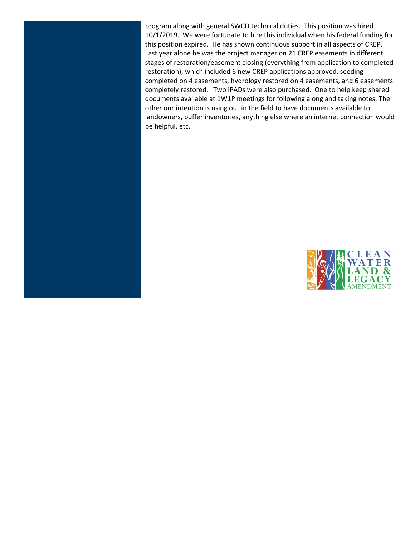program along with general SWCD technical duties. This position was hired 10/1/2019. We were fortunate to hire this individual when his federal funding for this position expired. He has shown continuous support in all aspects of CREP. Last year alone he was the project manager on 21 CREP easements in different stages of restoration/easement closing (everything from application to completed restoration), which included 6 new CREP applications approved, seeding completed on 4 easements, hydrology restored on 4 easements, and 6 easements completely restored. Two iPADs were also purchased. One to help keep shared documents available at 1W1P meetings for following along and taking notes. The other our intention is using out in the field to have documents available to landowners, buffer inventories, anything else where an internet connection would be helpful, etc.

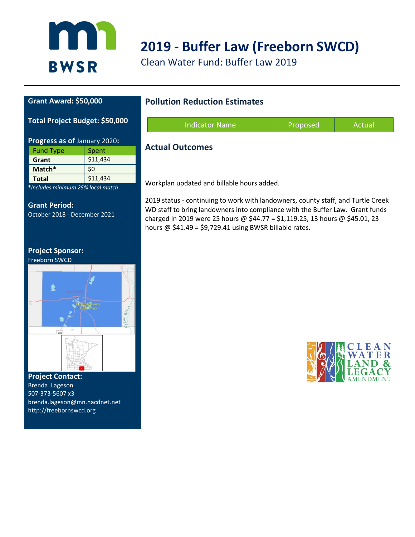

### **2019 - Buffer Law (Freeborn SWCD)**

Clean Water Fund: Buffer Law 2019

#### **Grant Award: \$50,000**

#### **Total Project Budget: \$50,000**

| Progress as of January 2020:             |          |  |
|------------------------------------------|----------|--|
| <b>Fund Type</b>                         | Spent    |  |
| Grant                                    | \$11,434 |  |
| Match*                                   | \$0      |  |
| <b>Total</b>                             | \$11,434 |  |
| .<br>the contract of the contract of the |          |  |

**\****Includes minimum 25% local match*

#### **Grant Period:** October 2018 - December 2021

#### **Project Sponsor:**





**Project Contact:**  Brenda Lageson 507-373-5607 x3 brenda.lageson@mn.nacdnet.net http://freebornswcd.org

#### **Pollution Reduction Estimates**

| <b>Indicator Name</b>  | Proposed | Actual |
|------------------------|----------|--------|
| <b>Actual Outcomes</b> |          |        |

Workplan updated and billable hours added.

2019 status - continuing to work with landowners, county staff, and Turtle Creek WD staff to bring landowners into compliance with the Buffer Law. Grant funds charged in 2019 were 25 hours @ \$44.77 = \$1,119.25, 13 hours @ \$45.01, 23 hours  $@$  \$41.49 = \$9,729.41 using BWSR billable rates.

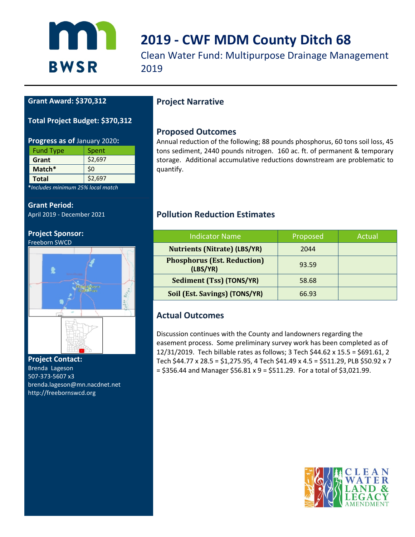

### **2019 - CWF MDM County Ditch 68**

Clean Water Fund: Multipurpose Drainage Management 2019

#### **Grant Award: \$370,312**

#### **Total Project Budget: \$370,312**

| Progress as of January 2020: |         |  |
|------------------------------|---------|--|
| <b>Fund Type</b>             | Spent   |  |
| Grant                        | \$2,697 |  |
| Match*                       | \$0     |  |
| <b>Total</b>                 | \$2,697 |  |

**\****Includes minimum 25% local match*

#### **Grant Period:**

April 2019 - December 2021

#### **Project Sponsor:**

Freeborn SWCD



#### **Project Contact:**  Brenda Lageson 507-373-5607 x3 brenda.lageson@mn.nacdnet.net http://freebornswcd.org

### **Project Narrative**

#### **Proposed Outcomes**

Annual reduction of the following; 88 pounds phosphorus, 60 tons soil loss, 45 tons sediment, 2440 pounds nitrogen. 160 ac. ft. of permanent & temporary storage. Additional accumulative reductions downstream are problematic to quantify.

#### **Pollution Reduction Estimates**

| <b>Indicator Name</b>                          | Proposed | Actual |
|------------------------------------------------|----------|--------|
| <b>Nutrients (Nitrate) (LBS/YR)</b>            | 2044     |        |
| <b>Phosphorus (Est. Reduction)</b><br>(LBS/YR) | 93.59    |        |
| Sediment (Tss) (TONS/YR)                       | 58.68    |        |
| Soil (Est. Savings) (TONS/YR)                  | 66.93    |        |

#### **Actual Outcomes**

Discussion continues with the County and landowners regarding the easement process. Some preliminary survey work has been completed as of 12/31/2019. Tech billable rates as follows; 3 Tech \$44.62 x 15.5 = \$691.61, 2 Tech \$44.77 x 28.5 = \$1,275.95, 4 Tech \$41.49 x 4.5 = \$511.29, PLB \$50.92 x 7  $=$  \$356.44 and Manager \$56.81 x 9 = \$511.29. For a total of \$3,021.99.

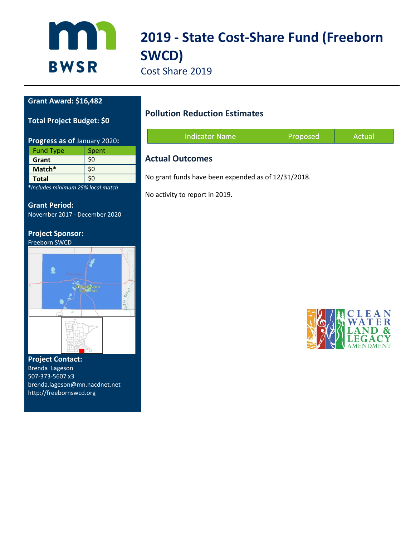

# **2019 - State Cost-Share Fund (Freeborn SWCD)**

Cost Share 2019

#### **Grant Award: \$16,482**

**Total Project Budget: \$0**

| Progress as of January 2020: |       |  |
|------------------------------|-------|--|
| <b>Fund Type</b>             | Spent |  |
| Grant                        | \$0   |  |
| Match*                       | \$0   |  |
| <b>Total</b>                 | \$0   |  |

**\****Includes minimum 25% local match*

**Grant Period:** November 2017 - December 2020

### **Project Sponsor:**



#### **Project Contact:**  Brenda Lageson

507-373-5607 x3 brenda.lageson@mn.nacdnet.net http://freebornswcd.org

### **Pollution Reduction Estimates**

| <b>Indicator Name</b> | Proposed | Actual |
|-----------------------|----------|--------|
|                       |          |        |

#### **Actual Outcomes**

No grant funds have been expended as of 12/31/2018.

No activity to report in 2019.

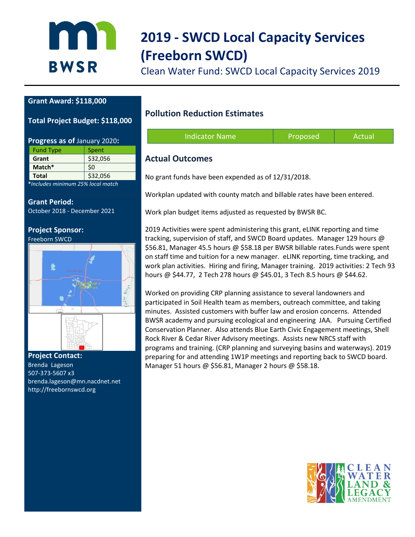

# **2019 - SWCD Local Capacity Services (Freeborn SWCD)**

Clean Water Fund: SWCD Local Capacity Services 2019

#### **Grant Award: \$118,000**

**Total Project Budget: \$118,000**

| Progress as of January 2020: |          |  |
|------------------------------|----------|--|
| <b>Fund Type</b>             | Spent    |  |
| Grant                        | \$32,056 |  |
| Match*                       | \$0      |  |
| <b>Total</b>                 | \$32,056 |  |

**\****Includes minimum 25% local match*

**Grant Period:** October 2018 - December 2021

**Project Sponsor:** Freeborn SWCD



**Project Contact:**  Brenda Lageson 507-373-5607 x3 brenda.lageson@mn.nacdnet.net http://freebornswcd.org

#### **Pollution Reduction Estimates**

| <b>Indicator Name</b> | Proposed | Actual |
|-----------------------|----------|--------|
|                       |          |        |

#### **Actual Outcomes**

No grant funds have been expended as of 12/31/2018.

Workplan updated with county match and billable rates have been entered.

Work plan budget items adjusted as requested by BWSR BC.

2019 Activities were spent administering this grant, eLINK reporting and time tracking, supervision of staff, and SWCD Board updates. Manager 129 hours @ \$56.81, Manager 45.5 hours @ \$58.18 per BWSR billable rates.Funds were spent on staff time and tuition for a new manager. eLINK reporting, time tracking, and work plan activities. Hiring and firing, Manager training. 2019 activities: 2 Tech 93 hours @ \$44.77, 2 Tech 278 hours @ \$45.01, 3 Tech 8.5 hours @ \$44.62.

Worked on providing CRP planning assistance to several landowners and participated in Soil Health team as members, outreach committee, and taking minutes. Assisted customers with buffer law and erosion concerns. Attended BWSR academy and pursuing ecological and engineering JAA. Pursuing Certified Conservation Planner. Also attends Blue Earth Civic Engagement meetings, Shell Rock River & Cedar River Advisory meetings. Assists new NRCS staff with programs and training. (CRP planning and surveying basins and waterways). 2019 preparing for and attending 1W1P meetings and reporting back to SWCD board. Manager 51 hours @ \$56.81, Manager 2 hours @ \$58.18.